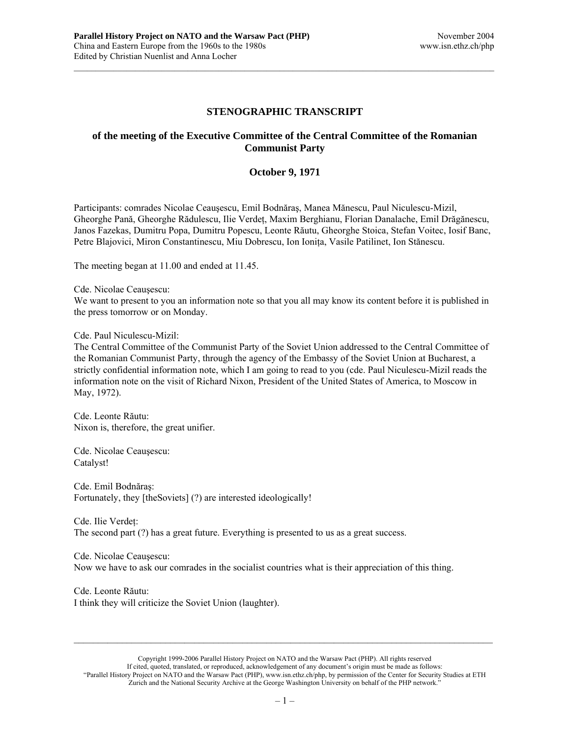## **STENOGRAPHIC TRANSCRIPT**

 $\mathcal{L}_\text{max}$ 

## **of the meeting of the Executive Committee of the Central Committee of the Romanian Communist Party**

## **October 9, 1971**

Participants: comrades Nicolae Ceauşescu, Emil Bodnăraş, Manea Mănescu, Paul Niculescu-Mizil, Gheorghe Pană, Gheorghe Rădulescu, Ilie Verdeţ, Maxim Berghianu, Florian Danalache, Emil Drăgănescu, Janos Fazekas, Dumitru Popa, Dumitru Popescu, Leonte Răutu, Gheorghe Stoica, Stefan Voitec, Iosif Banc, Petre Blajovici, Miron Constantinescu, Miu Dobrescu, Ion Ionita, Vasile Patilinet, Ion Stănescu.

The meeting began at 11.00 and ended at 11.45.

Cde. Nicolae Ceauşescu:

We want to present to you an information note so that you all may know its content before it is published in the press tomorrow or on Monday.

Cde. Paul Niculescu-Mizil:

The Central Committee of the Communist Party of the Soviet Union addressed to the Central Committee of the Romanian Communist Party, through the agency of the Embassy of the Soviet Union at Bucharest, a strictly confidential information note, which I am going to read to you (cde. Paul Niculescu-Mizil reads the information note on the visit of Richard Nixon, President of the United States of America, to Moscow in May, 1972).

Cde. Leonte Răutu: Nixon is, therefore, the great unifier.

Cde. Nicolae Ceauşescu: Catalyst!

Cde. Emil Bodnăraş: Fortunately, they [theSoviets] (?) are interested ideologically!

Cde. Ilie Verdeţ: The second part (?) has a great future. Everything is presented to us as a great success.

Cde. Nicolae Ceauşescu: Now we have to ask our comrades in the socialist countries what is their appreciation of this thing.

Cde. Leonte Răutu: I think they will criticize the Soviet Union (laughter).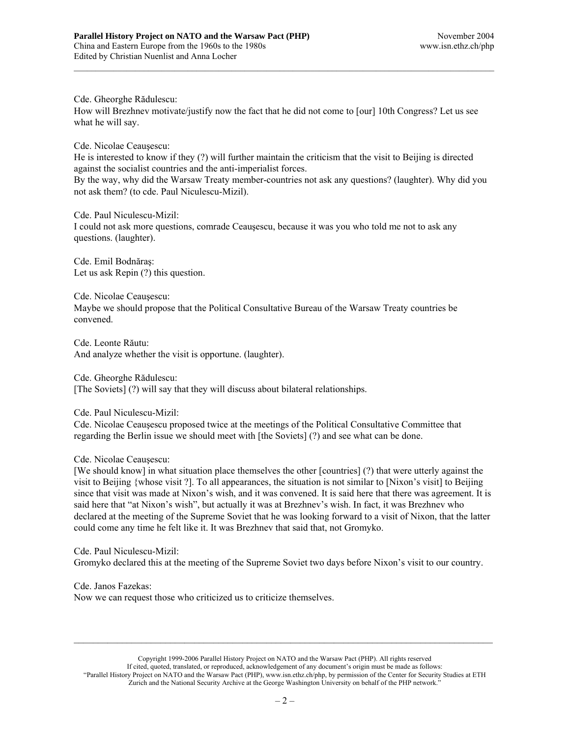Cde. Gheorghe Rădulescu:

How will Brezhnev motivate/justify now the fact that he did not come to [our] 10th Congress? Let us see what he will say.

 $\mathcal{L}_\text{max}$ 

Cde. Nicolae Ceauşescu:

He is interested to know if they (?) will further maintain the criticism that the visit to Beijing is directed against the socialist countries and the anti-imperialist forces.

By the way, why did the Warsaw Treaty member-countries not ask any questions? (laughter). Why did you not ask them? (to cde. Paul Niculescu-Mizil).

Cde. Paul Niculescu-Mizil: I could not ask more questions, comrade Ceauşescu, because it was you who told me not to ask any questions. (laughter).

Cde. Emil Bodnăraş: Let us ask Repin (?) this question.

Cde. Nicolae Ceauşescu: Maybe we should propose that the Political Consultative Bureau of the Warsaw Treaty countries be convened.

Cde. Leonte Răutu: And analyze whether the visit is opportune. (laughter).

Cde. Gheorghe Rădulescu: [The Soviets] (?) will say that they will discuss about bilateral relationships.

Cde. Paul Niculescu-Mizil:

Cde. Nicolae Ceauşescu proposed twice at the meetings of the Political Consultative Committee that regarding the Berlin issue we should meet with [the Soviets] (?) and see what can be done.

Cde. Nicolae Ceauşescu:

[We should know] in what situation place themselves the other [countries] (?) that were utterly against the visit to Beijing {whose visit ?]. To all appearances, the situation is not similar to [Nixon's visit] to Beijing since that visit was made at Nixon's wish, and it was convened. It is said here that there was agreement. It is said here that "at Nixon's wish", but actually it was at Brezhnev's wish. In fact, it was Brezhnev who declared at the meeting of the Supreme Soviet that he was looking forward to a visit of Nixon, that the latter could come any time he felt like it. It was Brezhnev that said that, not Gromyko.

Cde. Paul Niculescu-Mizil: Gromyko declared this at the meeting of the Supreme Soviet two days before Nixon's visit to our country.

Cde. Janos Fazekas: Now we can request those who criticized us to criticize themselves.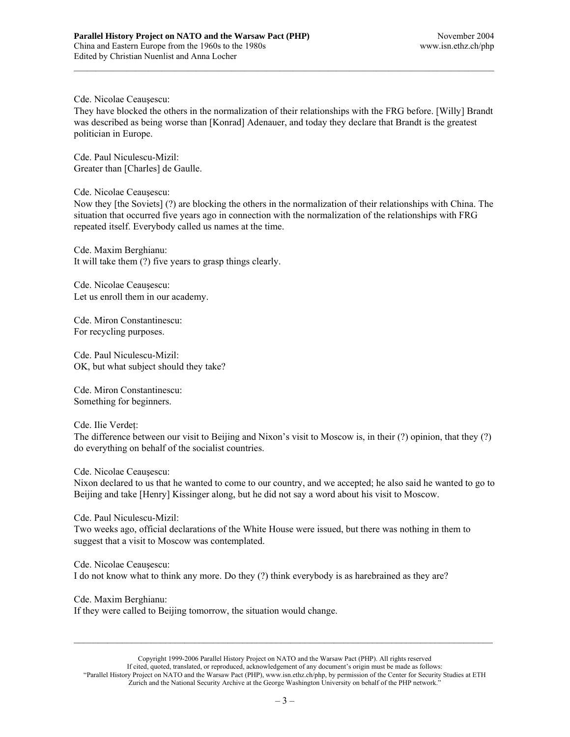Cde. Nicolae Ceauşescu:

They have blocked the others in the normalization of their relationships with the FRG before. [Willy] Brandt was described as being worse than [Konrad] Adenauer, and today they declare that Brandt is the greatest politician in Europe.

 $\mathcal{L}_\text{max}$ 

Cde. Paul Niculescu-Mizil: Greater than [Charles] de Gaulle.

Cde. Nicolae Ceauşescu:

Now they [the Soviets] (?) are blocking the others in the normalization of their relationships with China. The situation that occurred five years ago in connection with the normalization of the relationships with FRG repeated itself. Everybody called us names at the time.

Cde. Maxim Berghianu: It will take them (?) five years to grasp things clearly.

Cde. Nicolae Ceauşescu: Let us enroll them in our academy.

Cde. Miron Constantinescu: For recycling purposes.

Cde. Paul Niculescu-Mizil: OK, but what subject should they take?

Cde. Miron Constantinescu: Something for beginners.

Cde. Ilie Verdeţ:

The difference between our visit to Beijing and Nixon's visit to Moscow is, in their (?) opinion, that they (?) do everything on behalf of the socialist countries.

Cde. Nicolae Ceauşescu:

Nixon declared to us that he wanted to come to our country, and we accepted; he also said he wanted to go to Beijing and take [Henry] Kissinger along, but he did not say a word about his visit to Moscow.

Cde. Paul Niculescu-Mizil:

Two weeks ago, official declarations of the White House were issued, but there was nothing in them to suggest that a visit to Moscow was contemplated.

Cde. Nicolae Ceauşescu: I do not know what to think any more. Do they (?) think everybody is as harebrained as they are?

Cde. Maxim Berghianu:

If they were called to Beijing tomorrow, the situation would change.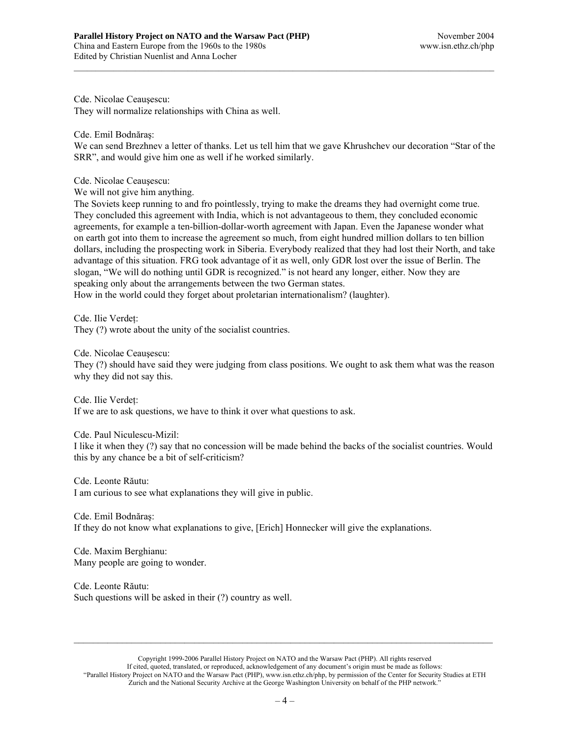Cde. Nicolae Ceauşescu:

They will normalize relationships with China as well.

Cde. Emil Bodnăraş:

We can send Brezhnev a letter of thanks. Let us tell him that we gave Khrushchev our decoration "Star of the SRR", and would give him one as well if he worked similarly.

 $\mathcal{L}_\text{max}$ 

Cde. Nicolae Ceauşescu:

We will not give him anything.

The Soviets keep running to and fro pointlessly, trying to make the dreams they had overnight come true. They concluded this agreement with India, which is not advantageous to them, they concluded economic agreements, for example a ten-billion-dollar-worth agreement with Japan. Even the Japanese wonder what on earth got into them to increase the agreement so much, from eight hundred million dollars to ten billion dollars, including the prospecting work in Siberia. Everybody realized that they had lost their North, and take advantage of this situation. FRG took advantage of it as well, only GDR lost over the issue of Berlin. The slogan, "We will do nothing until GDR is recognized." is not heard any longer, either. Now they are speaking only about the arrangements between the two German states.

How in the world could they forget about proletarian internationalism? (laughter).

Cde. Ilie Verdeţ:

They (?) wrote about the unity of the socialist countries.

Cde. Nicolae Ceauşescu:

They (?) should have said they were judging from class positions. We ought to ask them what was the reason why they did not say this.

Cde. Ilie Verdeţ: If we are to ask questions, we have to think it over what questions to ask.

Cde. Paul Niculescu-Mizil:

I like it when they (?) say that no concession will be made behind the backs of the socialist countries. Would this by any chance be a bit of self-criticism?

Cde. Leonte Răutu:

I am curious to see what explanations they will give in public.

Cde. Emil Bodnăraş: If they do not know what explanations to give, [Erich] Honnecker will give the explanations.

Cde. Maxim Berghianu: Many people are going to wonder.

Cde. Leonte Răutu: Such questions will be asked in their (?) country as well.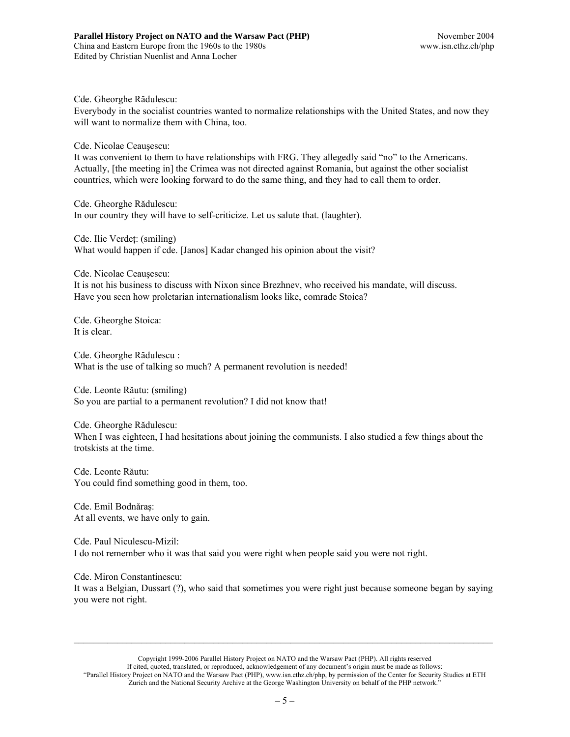Cde. Gheorghe Rădulescu:

Everybody in the socialist countries wanted to normalize relationships with the United States, and now they will want to normalize them with China, too.

 $\mathcal{L}_\text{max}$ 

Cde. Nicolae Ceauşescu:

It was convenient to them to have relationships with FRG. They allegedly said "no" to the Americans. Actually, [the meeting in] the Crimea was not directed against Romania, but against the other socialist countries, which were looking forward to do the same thing, and they had to call them to order.

Cde. Gheorghe Rădulescu: In our country they will have to self-criticize. Let us salute that. (laughter).

Cde. Ilie Verdeţ: (smiling) What would happen if cde. [Janos] Kadar changed his opinion about the visit?

Cde. Nicolae Ceauşescu:

It is not his business to discuss with Nixon since Brezhnev, who received his mandate, will discuss. Have you seen how proletarian internationalism looks like, comrade Stoica?

Cde. Gheorghe Stoica: It is clear.

Cde. Gheorghe Rădulescu : What is the use of talking so much? A permanent revolution is needed!

Cde. Leonte Răutu: (smiling) So you are partial to a permanent revolution? I did not know that!

Cde. Gheorghe Rădulescu: When I was eighteen, I had hesitations about joining the communists. I also studied a few things about the trotskists at the time.

Cde. Leonte Răutu: You could find something good in them, too.

Cde. Emil Bodnăraş: At all events, we have only to gain.

Cde. Paul Niculescu-Mizil: I do not remember who it was that said you were right when people said you were not right.

Cde. Miron Constantinescu: It was a Belgian, Dussart (?), who said that sometimes you were right just because someone began by saying you were not right.

Copyright 1999-2006 Parallel History Project on NATO and the Warsaw Pact (PHP). All rights reserved If cited, quoted, translated, or reproduced, acknowledgement of any document's origin must be made as follows: "Parallel History Project on NATO and the Warsaw Pact (PHP), www.isn.ethz.ch/php, by permission of the Center for Security Studies at ETH Zurich and the National Security Archive at the George Washington University on behalf of the PHP network."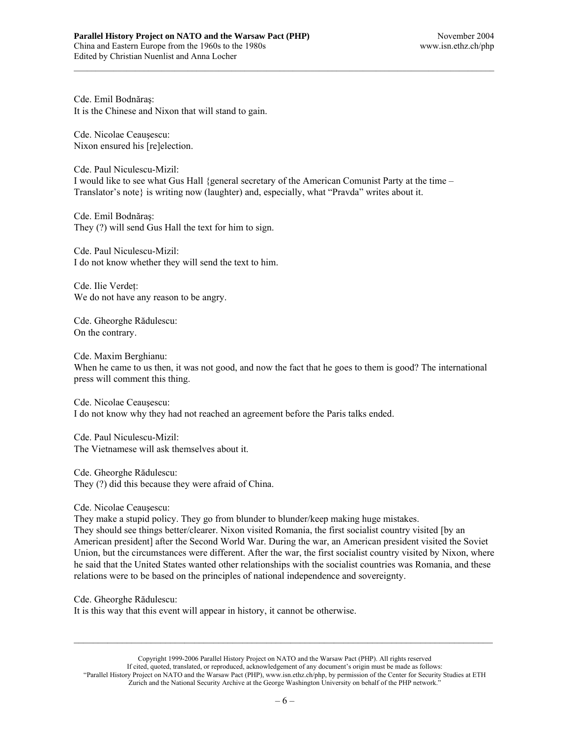Cde. Emil Bodnăraş: It is the Chinese and Nixon that will stand to gain.

Cde. Nicolae Ceauşescu: Nixon ensured his [re]election.

Cde. Paul Niculescu-Mizil: I would like to see what Gus Hall {general secretary of the American Comunist Party at the time – Translator's note} is writing now (laughter) and, especially, what "Pravda" writes about it.

 $\mathcal{L}_\text{max}$ 

Cde. Emil Bodnăraş: They (?) will send Gus Hall the text for him to sign.

Cde. Paul Niculescu-Mizil: I do not know whether they will send the text to him.

Cde. Ilie Verdeţ: We do not have any reason to be angry.

Cde. Gheorghe Rădulescu: On the contrary.

Cde. Maxim Berghianu: When he came to us then, it was not good, and now the fact that he goes to them is good? The international press will comment this thing.

Cde. Nicolae Ceauşescu: I do not know why they had not reached an agreement before the Paris talks ended.

Cde. Paul Niculescu-Mizil: The Vietnamese will ask themselves about it.

Cde. Gheorghe Rădulescu: They (?) did this because they were afraid of China.

Cde. Nicolae Ceauşescu:

They make a stupid policy. They go from blunder to blunder/keep making huge mistakes.

They should see things better/clearer. Nixon visited Romania, the first socialist country visited [by an American president] after the Second World War. During the war, an American president visited the Soviet Union, but the circumstances were different. After the war, the first socialist country visited by Nixon, where he said that the United States wanted other relationships with the socialist countries was Romania, and these relations were to be based on the principles of national independence and sovereignty.

Cde. Gheorghe Rădulescu:

It is this way that this event will appear in history, it cannot be otherwise.